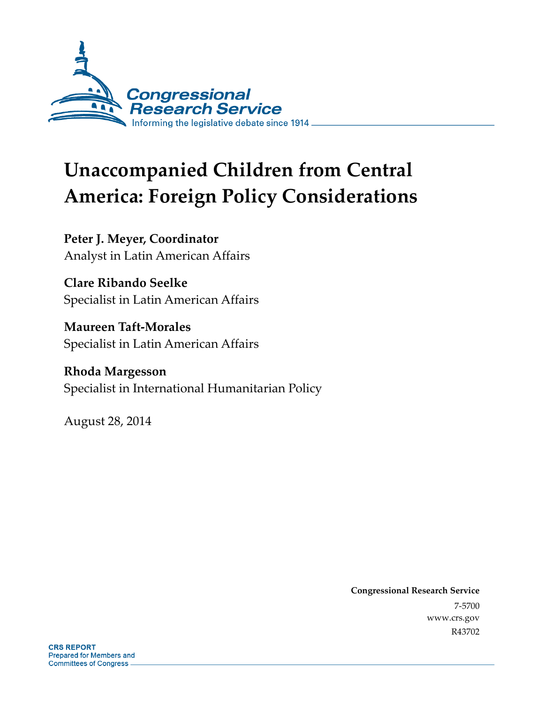

# **Unaccompanied Children from Central America: Foreign Policy Considerations**

**Peter J. Meyer, Coordinator**  Analyst in Latin American Affairs

**Clare Ribando Seelke**  Specialist in Latin American Affairs

**Maureen Taft-Morales**  Specialist in Latin American Affairs

**Rhoda Margesson**  Specialist in International Humanitarian Policy

August 28, 2014

**Congressional Research Service**  7-5700 www.crs.gov R43702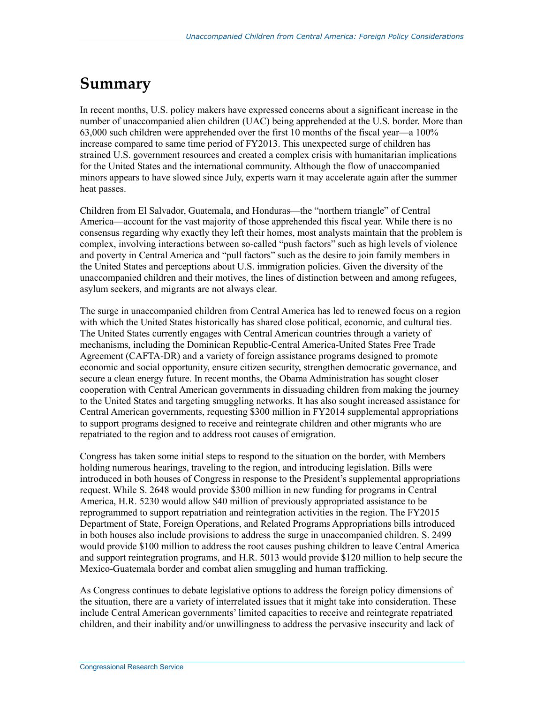## **Summary**

In recent months, U.S. policy makers have expressed concerns about a significant increase in the number of unaccompanied alien children (UAC) being apprehended at the U.S. border. More than 63,000 such children were apprehended over the first 10 months of the fiscal year—a 100% increase compared to same time period of FY2013. This unexpected surge of children has strained U.S. government resources and created a complex crisis with humanitarian implications for the United States and the international community. Although the flow of unaccompanied minors appears to have slowed since July, experts warn it may accelerate again after the summer heat passes.

Children from El Salvador, Guatemala, and Honduras—the "northern triangle" of Central America—account for the vast majority of those apprehended this fiscal year. While there is no consensus regarding why exactly they left their homes, most analysts maintain that the problem is complex, involving interactions between so-called "push factors" such as high levels of violence and poverty in Central America and "pull factors" such as the desire to join family members in the United States and perceptions about U.S. immigration policies. Given the diversity of the unaccompanied children and their motives, the lines of distinction between and among refugees, asylum seekers, and migrants are not always clear.

The surge in unaccompanied children from Central America has led to renewed focus on a region with which the United States historically has shared close political, economic, and cultural ties. The United States currently engages with Central American countries through a variety of mechanisms, including the Dominican Republic-Central America-United States Free Trade Agreement (CAFTA-DR) and a variety of foreign assistance programs designed to promote economic and social opportunity, ensure citizen security, strengthen democratic governance, and secure a clean energy future. In recent months, the Obama Administration has sought closer cooperation with Central American governments in dissuading children from making the journey to the United States and targeting smuggling networks. It has also sought increased assistance for Central American governments, requesting \$300 million in FY2014 supplemental appropriations to support programs designed to receive and reintegrate children and other migrants who are repatriated to the region and to address root causes of emigration.

Congress has taken some initial steps to respond to the situation on the border, with Members holding numerous hearings, traveling to the region, and introducing legislation. Bills were introduced in both houses of Congress in response to the President's supplemental appropriations request. While S. 2648 would provide \$300 million in new funding for programs in Central America, H.R. 5230 would allow \$40 million of previously appropriated assistance to be reprogrammed to support repatriation and reintegration activities in the region. The FY2015 Department of State, Foreign Operations, and Related Programs Appropriations bills introduced in both houses also include provisions to address the surge in unaccompanied children. S. 2499 would provide \$100 million to address the root causes pushing children to leave Central America and support reintegration programs, and H.R. 5013 would provide \$120 million to help secure the Mexico-Guatemala border and combat alien smuggling and human trafficking.

As Congress continues to debate legislative options to address the foreign policy dimensions of the situation, there are a variety of interrelated issues that it might take into consideration. These include Central American governments' limited capacities to receive and reintegrate repatriated children, and their inability and/or unwillingness to address the pervasive insecurity and lack of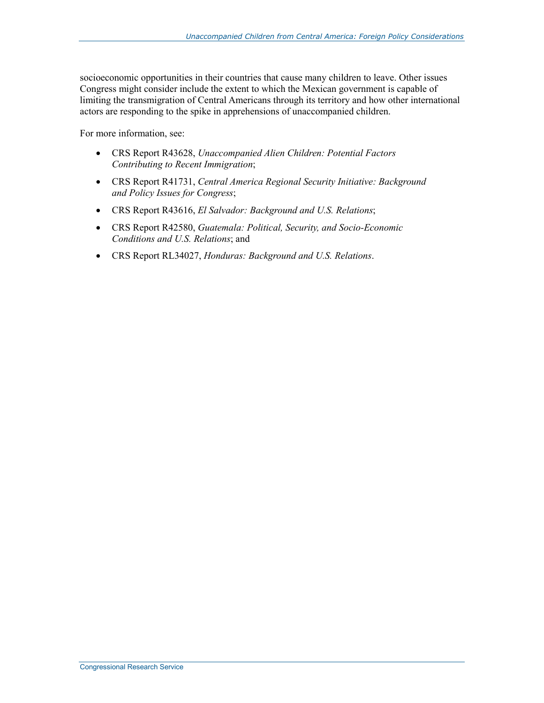socioeconomic opportunities in their countries that cause many children to leave. Other issues Congress might consider include the extent to which the Mexican government is capable of limiting the transmigration of Central Americans through its territory and how other international actors are responding to the spike in apprehensions of unaccompanied children.

For more information, see:

- CRS Report R43628, *Unaccompanied Alien Children: Potential Factors Contributing to Recent Immigration*;
- CRS Report R41731, *Central America Regional Security Initiative: Background and Policy Issues for Congress*;
- CRS Report R43616, *El Salvador: Background and U.S. Relations*;
- CRS Report R42580, *Guatemala: Political, Security, and Socio-Economic Conditions and U.S. Relations*; and
- CRS Report RL34027, *Honduras: Background and U.S. Relations*.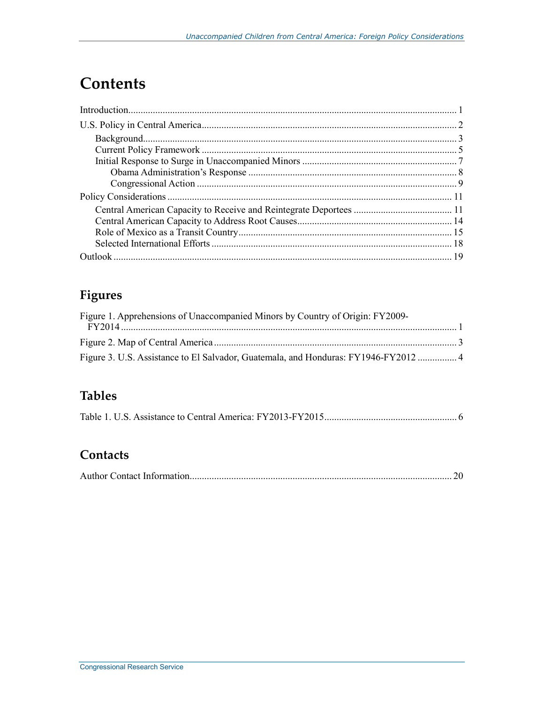## **Contents**

## Figures

| Figure 1. Apprehensions of Unaccompanied Minors by Country of Origin: FY2009- |  |
|-------------------------------------------------------------------------------|--|
|                                                                               |  |
|                                                                               |  |
|                                                                               |  |

## **Tables**

|--|--|--|--|--|--|--|

### Contacts

|--|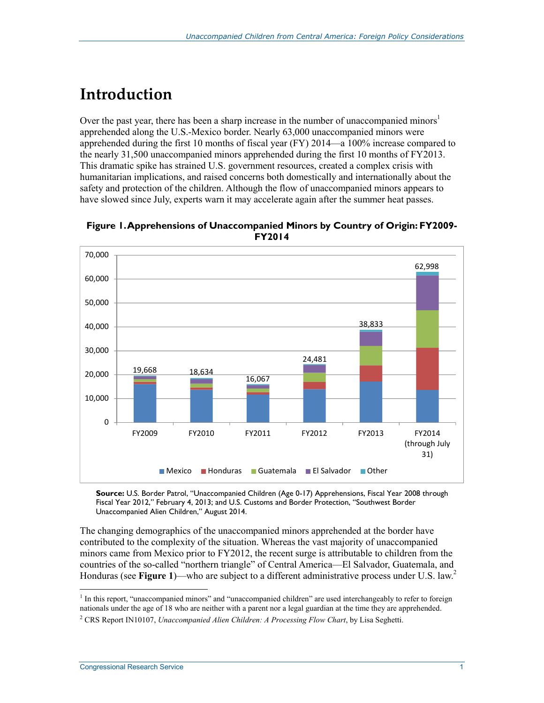## **Introduction**

Over the past year, there has been a sharp increase in the number of unaccompanied minors<sup>1</sup> apprehended along the U.S.-Mexico border. Nearly 63,000 unaccompanied minors were apprehended during the first 10 months of fiscal year (FY) 2014—a 100% increase compared to the nearly 31,500 unaccompanied minors apprehended during the first 10 months of FY2013. This dramatic spike has strained U.S. government resources, created a complex crisis with humanitarian implications, and raised concerns both domestically and internationally about the safety and protection of the children. Although the flow of unaccompanied minors appears to have slowed since July, experts warn it may accelerate again after the summer heat passes.



**Figure 1. Apprehensions of Unaccompanied Minors by Country of Origin: FY2009- FY2014** 

**Source:** U.S. Border Patrol, "Unaccompanied Children (Age 0-17) Apprehensions, Fiscal Year 2008 through Fiscal Year 2012," February 4, 2013; and U.S. Customs and Border Protection, "Southwest Border Unaccompanied Alien Children," August 2014.

The changing demographics of the unaccompanied minors apprehended at the border have contributed to the complexity of the situation. Whereas the vast majority of unaccompanied minors came from Mexico prior to FY2012, the recent surge is attributable to children from the countries of the so-called "northern triangle" of Central America—El Salvador, Guatemala, and Honduras (see **Figure 1**)—who are subject to a different administrative process under U.S. law.2

<sup>&</sup>lt;sup>1</sup> In this report, "unaccompanied minors" and "unaccompanied children" are used interchangeably to refer to foreign nationals under the age of 18 who are neither with a parent nor a legal guardian at the time they are apprehended.

<sup>2</sup> CRS Report IN10107, *Unaccompanied Alien Children: A Processing Flow Chart*, by Lisa Seghetti.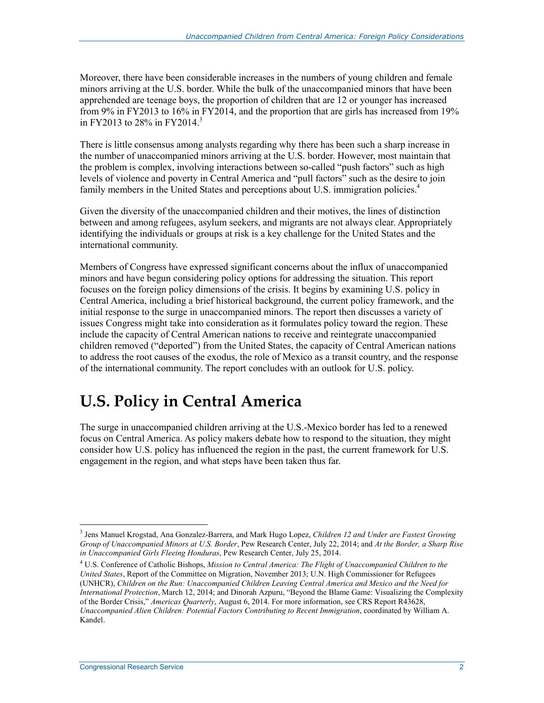Moreover, there have been considerable increases in the numbers of young children and female minors arriving at the U.S. border. While the bulk of the unaccompanied minors that have been apprehended are teenage boys, the proportion of children that are 12 or younger has increased from 9% in FY2013 to 16% in FY2014, and the proportion that are girls has increased from 19% in FY2013 to 28% in FY2014.<sup>3</sup>

There is little consensus among analysts regarding why there has been such a sharp increase in the number of unaccompanied minors arriving at the U.S. border. However, most maintain that the problem is complex, involving interactions between so-called "push factors" such as high levels of violence and poverty in Central America and "pull factors" such as the desire to join family members in the United States and perceptions about U.S. immigration policies.<sup>4</sup>

Given the diversity of the unaccompanied children and their motives, the lines of distinction between and among refugees, asylum seekers, and migrants are not always clear. Appropriately identifying the individuals or groups at risk is a key challenge for the United States and the international community.

Members of Congress have expressed significant concerns about the influx of unaccompanied minors and have begun considering policy options for addressing the situation. This report focuses on the foreign policy dimensions of the crisis. It begins by examining U.S. policy in Central America, including a brief historical background, the current policy framework, and the initial response to the surge in unaccompanied minors. The report then discusses a variety of issues Congress might take into consideration as it formulates policy toward the region. These include the capacity of Central American nations to receive and reintegrate unaccompanied children removed ("deported") from the United States, the capacity of Central American nations to address the root causes of the exodus, the role of Mexico as a transit country, and the response of the international community. The report concludes with an outlook for U.S. policy.

## **U.S. Policy in Central America**

The surge in unaccompanied children arriving at the U.S.-Mexico border has led to a renewed focus on Central America. As policy makers debate how to respond to the situation, they might consider how U.S. policy has influenced the region in the past, the current framework for U.S. engagement in the region, and what steps have been taken thus far.

<sup>3</sup> Jens Manuel Krogstad, Ana Gonzalez-Barrera, and Mark Hugo Lopez, *Children 12 and Under are Fastest Growing Group of Unaccompanied Minors at U.S. Border*, Pew Research Center, July 22, 2014; and *At the Border, a Sharp Rise in Unaccompanied Girls Fleeing Honduras*, Pew Research Center, July 25, 2014.

<sup>4</sup> U.S. Conference of Catholic Bishops, *Mission to Central America: The Flight of Unaccompanied Children to the United States*, Report of the Committee on Migration, November 2013; U.N. High Commissioner for Refugees (UNHCR), *Children on the Run: Unaccompanied Children Leaving Central America and Mexico and the Need for International Protection*, March 12, 2014; and Dinorah Azpuru, "Beyond the Blame Game: Visualizing the Complexity of the Border Crisis," *Americas Quarterly*, August 6, 2014. For more information, see CRS Report R43628, *Unaccompanied Alien Children: Potential Factors Contributing to Recent Immigration*, coordinated by William A. Kandel.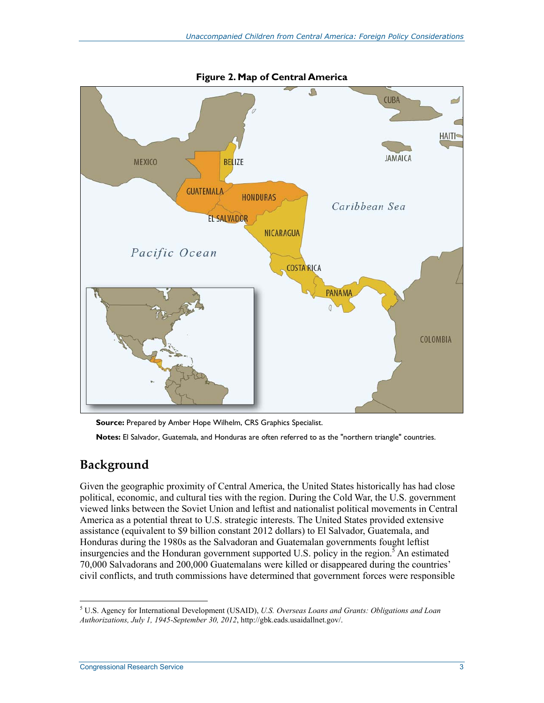

**Source:** Prepared by Amber Hope Wilhelm, CRS Graphics Specialist. **Notes:** El Salvador, Guatemala, and Honduras are often referred to as the "northern triangle" countries.

## **Background**

Given the geographic proximity of Central America, the United States historically has had close political, economic, and cultural ties with the region. During the Cold War, the U.S. government viewed links between the Soviet Union and leftist and nationalist political movements in Central America as a potential threat to U.S. strategic interests. The United States provided extensive assistance (equivalent to \$9 billion constant 2012 dollars) to El Salvador, Guatemala, and Honduras during the 1980s as the Salvadoran and Guatemalan governments fought leftist insurgencies and the Honduran government supported U.S. policy in the region.<sup>5</sup> An estimated 70,000 Salvadorans and 200,000 Guatemalans were killed or disappeared during the countries' civil conflicts, and truth commissions have determined that government forces were responsible

<sup>1</sup> 5 U.S. Agency for International Development (USAID), *U.S. Overseas Loans and Grants: Obligations and Loan Authorizations, July 1, 1945-September 30, 2012*, http://gbk.eads.usaidallnet.gov/.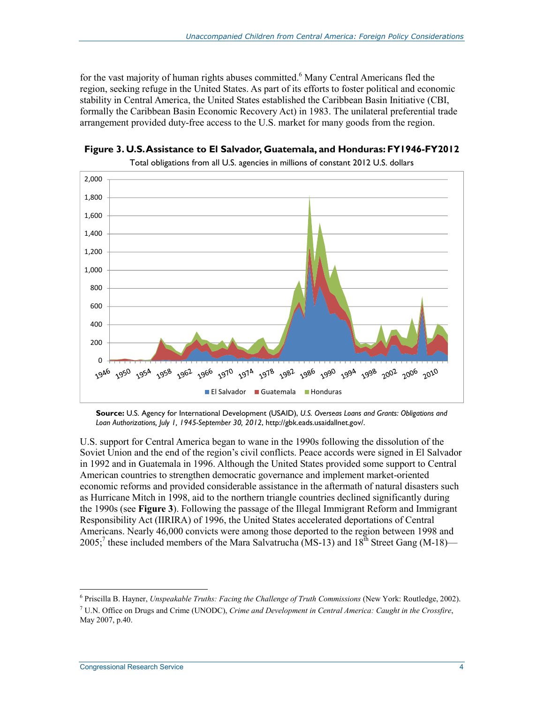for the vast majority of human rights abuses committed.<sup>6</sup> Many Central Americans fled the region, seeking refuge in the United States. As part of its efforts to foster political and economic stability in Central America, the United States established the Caribbean Basin Initiative (CBI, formally the Caribbean Basin Economic Recovery Act) in 1983. The unilateral preferential trade arrangement provided duty-free access to the U.S. market for many goods from the region.





**Source:** U.S. Agency for International Development (USAID), *U.S. Overseas Loans and Grants: Obligations and Loan Authorizations, July 1, 1945-September 30, 2012*, http://gbk.eads.usaidallnet.gov/.

U.S. support for Central America began to wane in the 1990s following the dissolution of the Soviet Union and the end of the region's civil conflicts. Peace accords were signed in El Salvador in 1992 and in Guatemala in 1996. Although the United States provided some support to Central American countries to strengthen democratic governance and implement market-oriented economic reforms and provided considerable assistance in the aftermath of natural disasters such as Hurricane Mitch in 1998, aid to the northern triangle countries declined significantly during the 1990s (see **Figure 3**). Following the passage of the Illegal Immigrant Reform and Immigrant Responsibility Act (IIRIRA) of 1996, the United States accelerated deportations of Central Americans. Nearly 46,000 convicts were among those deported to the region between 1998 and 2005;<sup>7</sup> these included members of the Mara Salvatrucha (MS-13) and  $18^{\text{th}}$  Street Gang (M-18)—

<sup>6</sup> Priscilla B. Hayner, *Unspeakable Truths: Facing the Challenge of Truth Commissions* (New York: Routledge, 2002).

<sup>7</sup> U.N. Office on Drugs and Crime (UNODC), *Crime and Development in Central America: Caught in the Crossfire*, May 2007, p.40.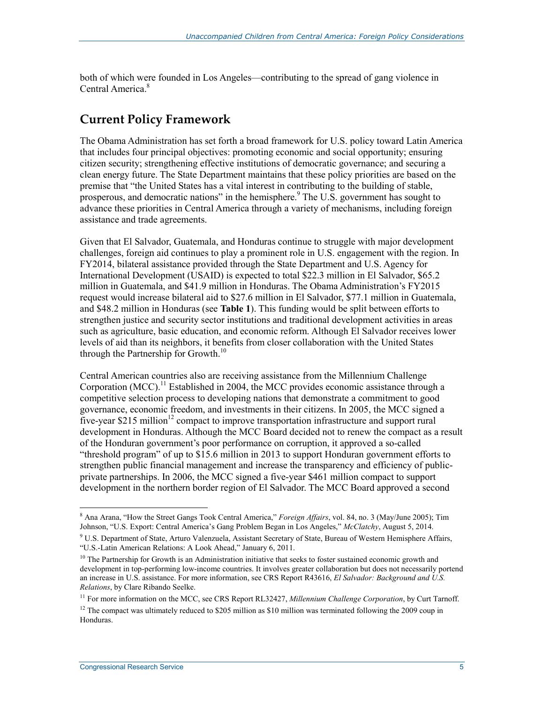both of which were founded in Los Angeles—contributing to the spread of gang violence in Central America.<sup>8</sup>

### **Current Policy Framework**

The Obama Administration has set forth a broad framework for U.S. policy toward Latin America that includes four principal objectives: promoting economic and social opportunity; ensuring citizen security; strengthening effective institutions of democratic governance; and securing a clean energy future. The State Department maintains that these policy priorities are based on the premise that "the United States has a vital interest in contributing to the building of stable, prosperous, and democratic nations" in the hemisphere. $9$  The U.S. government has sought to advance these priorities in Central America through a variety of mechanisms, including foreign assistance and trade agreements.

Given that El Salvador, Guatemala, and Honduras continue to struggle with major development challenges, foreign aid continues to play a prominent role in U.S. engagement with the region. In FY2014, bilateral assistance provided through the State Department and U.S. Agency for International Development (USAID) is expected to total \$22.3 million in El Salvador, \$65.2 million in Guatemala, and \$41.9 million in Honduras. The Obama Administration's FY2015 request would increase bilateral aid to \$27.6 million in El Salvador, \$77.1 million in Guatemala, and \$48.2 million in Honduras (see **Table 1**). This funding would be split between efforts to strengthen justice and security sector institutions and traditional development activities in areas such as agriculture, basic education, and economic reform. Although El Salvador receives lower levels of aid than its neighbors, it benefits from closer collaboration with the United States through the Partnership for Growth.<sup>10</sup>

Central American countries also are receiving assistance from the Millennium Challenge Corporation (MCC).<sup>11</sup> Established in 2004, the MCC provides economic assistance through a competitive selection process to developing nations that demonstrate a commitment to good governance, economic freedom, and investments in their citizens. In 2005, the MCC signed a five-year \$215 million<sup>12</sup> compact to improve transportation infrastructure and support rural development in Honduras. Although the MCC Board decided not to renew the compact as a result of the Honduran government's poor performance on corruption, it approved a so-called "threshold program" of up to \$15.6 million in 2013 to support Honduran government efforts to strengthen public financial management and increase the transparency and efficiency of publicprivate partnerships. In 2006, the MCC signed a five-year \$461 million compact to support development in the northern border region of El Salvador. The MCC Board approved a second

<u>.</u>

<sup>&</sup>lt;sup>8</sup> Ana Arana, "How the Street Gangs Took Central America," *Foreign Affairs*, vol. 84, no. 3 (May/June 2005); Tim Johnson, "U.S. Export: Central America's Gang Problem Began in Los Angeles," *McClatchy*, August 5, 2014.

<sup>&</sup>lt;sup>9</sup> U.S. Department of State, Arturo Valenzuela, Assistant Secretary of State, Bureau of Western Hemisphere Affairs, "U.S.-Latin American Relations: A Look Ahead," January 6, 2011.

 $10$  The Partnership for Growth is an Administration initiative that seeks to foster sustained economic growth and development in top-performing low-income countries. It involves greater collaboration but does not necessarily portend an increase in U.S. assistance. For more information, see CRS Report R43616, *El Salvador: Background and U.S. Relations*, by Clare Ribando Seelke.

<sup>&</sup>lt;sup>11</sup> For more information on the MCC, see CRS Report RL32427, *Millennium Challenge Corporation*, by Curt Tarnoff.

<sup>&</sup>lt;sup>12</sup> The compact was ultimately reduced to \$205 million as \$10 million was terminated following the 2009 coup in Honduras.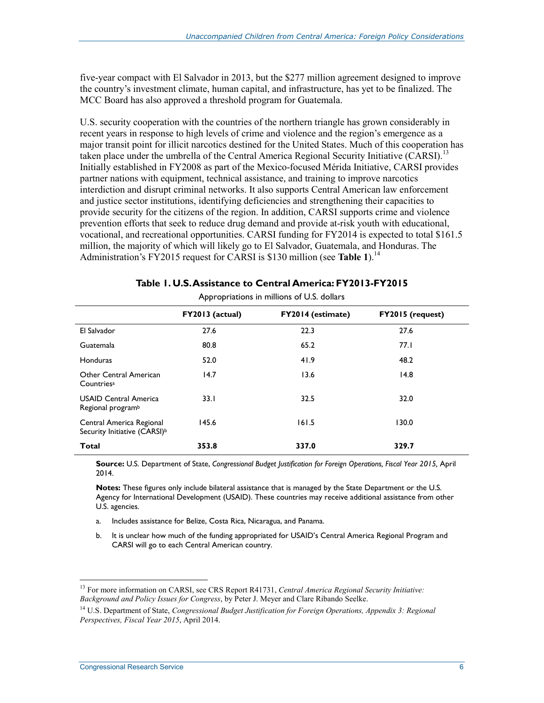five-year compact with El Salvador in 2013, but the \$277 million agreement designed to improve the country's investment climate, human capital, and infrastructure, has yet to be finalized. The MCC Board has also approved a threshold program for Guatemala.

U.S. security cooperation with the countries of the northern triangle has grown considerably in recent years in response to high levels of crime and violence and the region's emergence as a major transit point for illicit narcotics destined for the United States. Much of this cooperation has taken place under the umbrella of the Central America Regional Security Initiative (CARSI).<sup>13</sup> Initially established in FY2008 as part of the Mexico-focused Mérida Initiative, CARSI provides partner nations with equipment, technical assistance, and training to improve narcotics interdiction and disrupt criminal networks. It also supports Central American law enforcement and justice sector institutions, identifying deficiencies and strengthening their capacities to provide security for the citizens of the region. In addition, CARSI supports crime and violence prevention efforts that seek to reduce drug demand and provide at-risk youth with educational, vocational, and recreational opportunities. CARSI funding for FY2014 is expected to total \$161.5 million, the majority of which will likely go to El Salvador, Guatemala, and Honduras. The Administration's FY2015 request for CARSI is \$130 million (see **Table 1**).<sup>14</sup>

| , pp. op. adolis in millions of 0.3. dollars                         |                 |                          |                         |  |  |
|----------------------------------------------------------------------|-----------------|--------------------------|-------------------------|--|--|
|                                                                      | FY2013 (actual) | <b>FY2014 (estimate)</b> | <b>FY2015 (request)</b> |  |  |
| El Salvador                                                          | 27.6            | 22.3                     | 27.6                    |  |  |
| <b>Guatemala</b>                                                     | 80.8            | 65.2                     | 77.1                    |  |  |
| <b>Honduras</b>                                                      | 52.0            | 41.9                     | 48.2                    |  |  |
| Other Central American<br>Countries <sup>a</sup>                     | 14.7            | 13.6                     | 14.8                    |  |  |
| <b>USAID Central America</b><br>Regional program <sup>b</sup>        | 33.1            | 32.5                     | 32.0                    |  |  |
| Central America Regional<br>Security Initiative (CARSI) <sup>b</sup> | 145.6           | 161.5                    | 130.0                   |  |  |
| Total                                                                | 353.8           | 337.0                    | 329.7                   |  |  |

| Table 1. U.S. Assistance to Central America: FY2013-FY2015 |                                           |  |  |  |
|------------------------------------------------------------|-------------------------------------------|--|--|--|
|                                                            | Appropriations in millions of LLS dollars |  |  |  |

**Source:** U.S. Department of State, *Congressional Budget Justification for Foreign Operations, Fiscal Year 2015,* April 2014.

**Notes:** These figures only include bilateral assistance that is managed by the State Department or the U.S. Agency for International Development (USAID). These countries may receive additional assistance from other U.S. agencies.

- a. Includes assistance for Belize, Costa Rica, Nicaragua, and Panama.
- b. It is unclear how much of the funding appropriated for USAID's Central America Regional Program and CARSI will go to each Central American country.

<sup>13</sup> For more information on CARSI, see CRS Report R41731, *Central America Regional Security Initiative: Background and Policy Issues for Congress*, by Peter J. Meyer and Clare Ribando Seelke.

<sup>14</sup> U.S. Department of State, *Congressional Budget Justification for Foreign Operations, Appendix 3: Regional Perspectives, Fiscal Year 2015*, April 2014.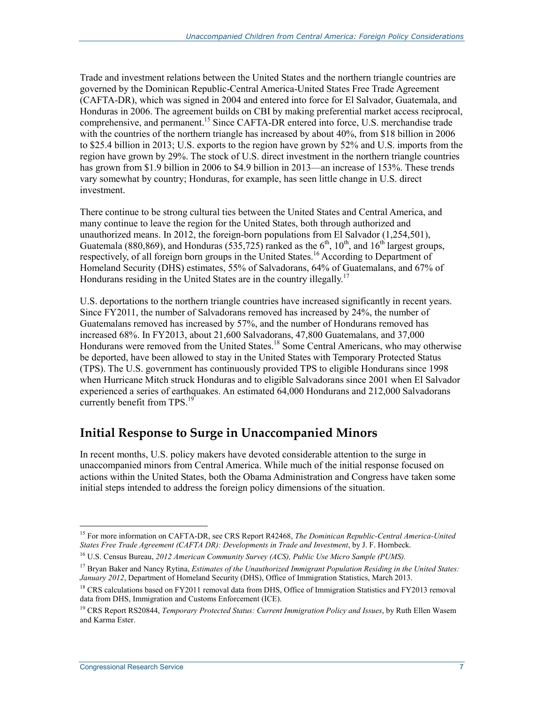Trade and investment relations between the United States and the northern triangle countries are governed by the Dominican Republic-Central America-United States Free Trade Agreement (CAFTA-DR), which was signed in 2004 and entered into force for El Salvador, Guatemala, and Honduras in 2006. The agreement builds on CBI by making preferential market access reciprocal, comprehensive, and permanent.<sup>15</sup> Since CAFTA-DR entered into force, U.S. merchandise trade with the countries of the northern triangle has increased by about 40%, from \$18 billion in 2006 to \$25.4 billion in 2013; U.S. exports to the region have grown by 52% and U.S. imports from the region have grown by 29%. The stock of U.S. direct investment in the northern triangle countries has grown from \$1.9 billion in 2006 to \$4.9 billion in 2013—an increase of 153%. These trends vary somewhat by country; Honduras, for example, has seen little change in U.S. direct investment.

There continue to be strong cultural ties between the United States and Central America, and many continue to leave the region for the United States, both through authorized and unauthorized means. In 2012, the foreign-born populations from El Salvador (1,254,501), Guatemala (880,869), and Honduras (535,725) ranked as the  $6<sup>th</sup>$ ,  $10<sup>th</sup>$ , and  $16<sup>th</sup>$  largest groups, respectively, of all foreign born groups in the United States.<sup>16</sup> According to Department of Homeland Security (DHS) estimates, 55% of Salvadorans, 64% of Guatemalans, and 67% of Hondurans residing in the United States are in the country illegally.<sup>17</sup>

U.S. deportations to the northern triangle countries have increased significantly in recent years. Since FY2011, the number of Salvadorans removed has increased by 24%, the number of Guatemalans removed has increased by 57%, and the number of Hondurans removed has increased 68%. In FY2013, about 21,600 Salvadorans, 47,800 Guatemalans, and 37,000 Hondurans were removed from the United States.<sup>18</sup> Some Central Americans, who may otherwise be deported, have been allowed to stay in the United States with Temporary Protected Status (TPS). The U.S. government has continuously provided TPS to eligible Hondurans since 1998 when Hurricane Mitch struck Honduras and to eligible Salvadorans since 2001 when El Salvador experienced a series of earthquakes. An estimated 64,000 Hondurans and 212,000 Salvadorans currently benefit from TPS.<sup>19</sup>

### **Initial Response to Surge in Unaccompanied Minors**

In recent months, U.S. policy makers have devoted considerable attention to the surge in unaccompanied minors from Central America. While much of the initial response focused on actions within the United States, both the Obama Administration and Congress have taken some initial steps intended to address the foreign policy dimensions of the situation.

<sup>15</sup> For more information on CAFTA-DR, see CRS Report R42468, *The Dominican Republic-Central America-United States Free Trade Agreement (CAFTA DR): Developments in Trade and Investment*, by J. F. Hornbeck.

<sup>16</sup> U.S. Census Bureau, *2012 American Community Survey (ACS), Public Use Micro Sample (PUMS).*

<sup>17</sup> Bryan Baker and Nancy Rytina, *Estimates of the Unauthorized Immigrant Population Residing in the United States: January 2012*, Department of Homeland Security (DHS), Office of Immigration Statistics, March 2013.

<sup>&</sup>lt;sup>18</sup> CRS calculations based on FY2011 removal data from DHS, Office of Immigration Statistics and FY2013 removal data from DHS, Immigration and Customs Enforcement (ICE).

<sup>19</sup> CRS Report RS20844, *Temporary Protected Status: Current Immigration Policy and Issues*, by Ruth Ellen Wasem and Karma Ester.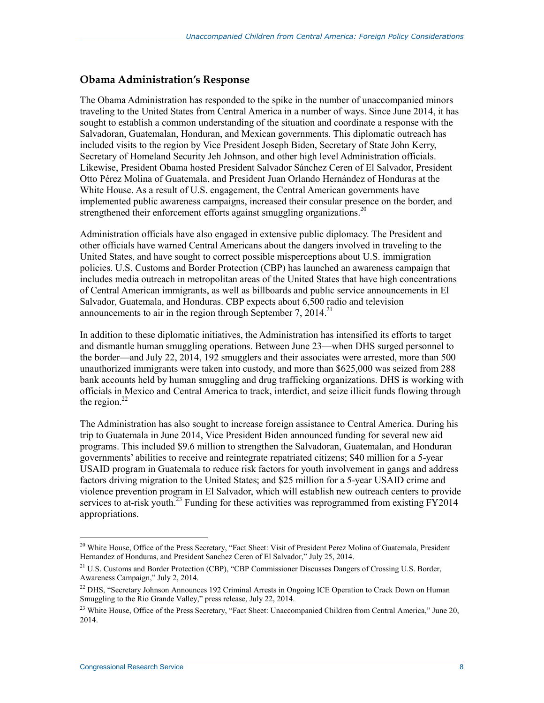#### **Obama Administration's Response**

The Obama Administration has responded to the spike in the number of unaccompanied minors traveling to the United States from Central America in a number of ways. Since June 2014, it has sought to establish a common understanding of the situation and coordinate a response with the Salvadoran, Guatemalan, Honduran, and Mexican governments. This diplomatic outreach has included visits to the region by Vice President Joseph Biden, Secretary of State John Kerry, Secretary of Homeland Security Jeh Johnson, and other high level Administration officials. Likewise, President Obama hosted President Salvador Sánchez Ceren of El Salvador, President Otto Pérez Molina of Guatemala, and President Juan Orlando Hernández of Honduras at the White House. As a result of U.S. engagement, the Central American governments have implemented public awareness campaigns, increased their consular presence on the border, and strengthened their enforcement efforts against smuggling organizations.<sup>20</sup>

Administration officials have also engaged in extensive public diplomacy. The President and other officials have warned Central Americans about the dangers involved in traveling to the United States, and have sought to correct possible misperceptions about U.S. immigration policies. U.S. Customs and Border Protection (CBP) has launched an awareness campaign that includes media outreach in metropolitan areas of the United States that have high concentrations of Central American immigrants, as well as billboards and public service announcements in El Salvador, Guatemala, and Honduras. CBP expects about 6,500 radio and television announcements to air in the region through September 7, 2014.<sup>21</sup>

In addition to these diplomatic initiatives, the Administration has intensified its efforts to target and dismantle human smuggling operations. Between June 23—when DHS surged personnel to the border—and July 22, 2014, 192 smugglers and their associates were arrested, more than 500 unauthorized immigrants were taken into custody, and more than \$625,000 was seized from 288 bank accounts held by human smuggling and drug trafficking organizations. DHS is working with officials in Mexico and Central America to track, interdict, and seize illicit funds flowing through the region. $^{22}$ 

The Administration has also sought to increase foreign assistance to Central America. During his trip to Guatemala in June 2014, Vice President Biden announced funding for several new aid programs. This included \$9.6 million to strengthen the Salvadoran, Guatemalan, and Honduran governments' abilities to receive and reintegrate repatriated citizens; \$40 million for a 5-year USAID program in Guatemala to reduce risk factors for youth involvement in gangs and address factors driving migration to the United States; and \$25 million for a 5-year USAID crime and violence prevention program in El Salvador, which will establish new outreach centers to provide services to at-risk youth.<sup>23</sup> Funding for these activities was reprogrammed from existing  $\angle$ FY2014 appropriations.

<sup>&</sup>lt;sup>20</sup> White House, Office of the Press Secretary, "Fact Sheet: Visit of President Perez Molina of Guatemala, President Hernandez of Honduras, and President Sanchez Ceren of El Salvador," July 25, 2014.

<sup>&</sup>lt;sup>21</sup> U.S. Customs and Border Protection (CBP), "CBP Commissioner Discusses Dangers of Crossing U.S. Border, Awareness Campaign," July 2, 2014.

 $^{22}$  DHS, "Secretary Johnson Announces 192 Criminal Arrests in Ongoing ICE Operation to Crack Down on Human Smuggling to the Rio Grande Valley," press release, July 22, 2014.

<sup>&</sup>lt;sup>23</sup> White House, Office of the Press Secretary, "Fact Sheet: Unaccompanied Children from Central America," June 20, 2014.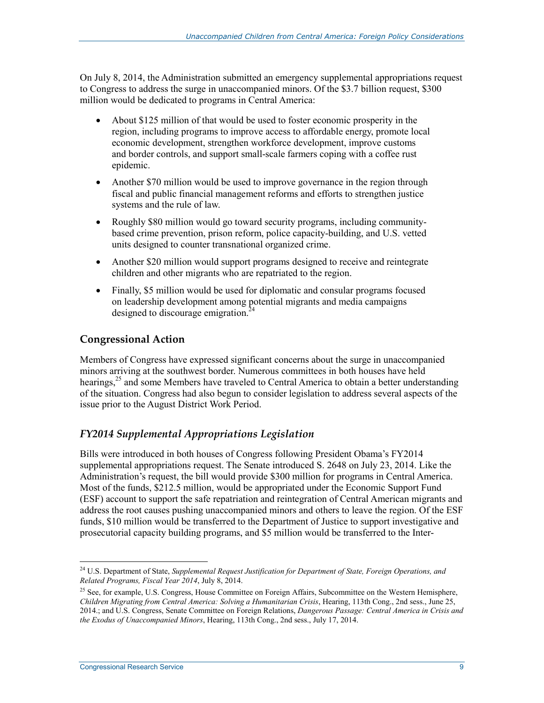On July 8, 2014, the Administration submitted an emergency supplemental appropriations request to Congress to address the surge in unaccompanied minors. Of the \$3.7 billion request, \$300 million would be dedicated to programs in Central America:

- About \$125 million of that would be used to foster economic prosperity in the region, including programs to improve access to affordable energy, promote local economic development, strengthen workforce development, improve customs and border controls, and support small-scale farmers coping with a coffee rust epidemic.
- Another \$70 million would be used to improve governance in the region through fiscal and public financial management reforms and efforts to strengthen justice systems and the rule of law.
- Roughly \$80 million would go toward security programs, including communitybased crime prevention, prison reform, police capacity-building, and U.S. vetted units designed to counter transnational organized crime.
- Another \$20 million would support programs designed to receive and reintegrate children and other migrants who are repatriated to the region.
- Finally, \$5 million would be used for diplomatic and consular programs focused on leadership development among potential migrants and media campaigns designed to discourage emigration.<sup>24</sup>

#### **Congressional Action**

Members of Congress have expressed significant concerns about the surge in unaccompanied minors arriving at the southwest border. Numerous committees in both houses have held hearings,<sup>25</sup> and some Members have traveled to Central America to obtain a better understanding of the situation. Congress had also begun to consider legislation to address several aspects of the issue prior to the August District Work Period.

#### *FY2014 Supplemental Appropriations Legislation*

Bills were introduced in both houses of Congress following President Obama's FY2014 supplemental appropriations request. The Senate introduced S. 2648 on July 23, 2014. Like the Administration's request, the bill would provide \$300 million for programs in Central America. Most of the funds, \$212.5 million, would be appropriated under the Economic Support Fund (ESF) account to support the safe repatriation and reintegration of Central American migrants and address the root causes pushing unaccompanied minors and others to leave the region. Of the ESF funds, \$10 million would be transferred to the Department of Justice to support investigative and prosecutorial capacity building programs, and \$5 million would be transferred to the Inter-

<sup>24</sup> U.S. Department of State, *Supplemental Request Justification for Department of State, Foreign Operations, and Related Programs, Fiscal Year 2014*, July 8, 2014.

 $^{25}$  See, for example, U.S. Congress, House Committee on Foreign Affairs, Subcommittee on the Western Hemisphere, *Children Migrating from Central America: Solving a Humanitarian Crisis*, Hearing, 113th Cong., 2nd sess., June 25, 2014.; and U.S. Congress, Senate Committee on Foreign Relations, *Dangerous Passage: Central America in Crisis and the Exodus of Unaccompanied Minors*, Hearing, 113th Cong., 2nd sess., July 17, 2014.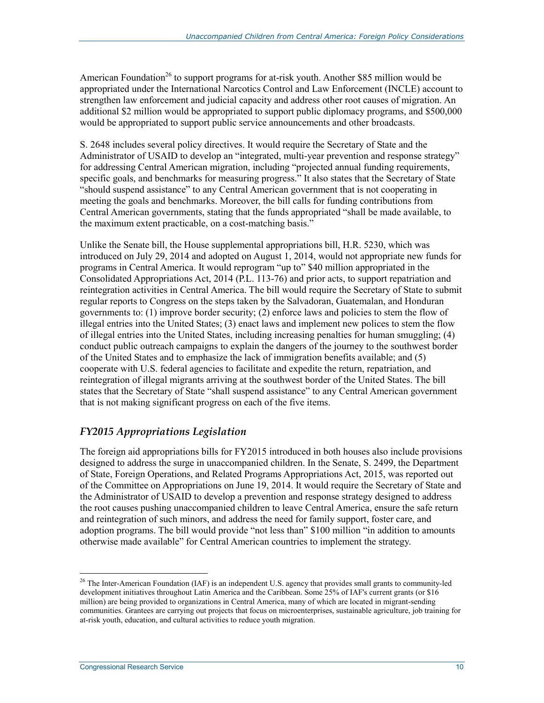American Foundation<sup>26</sup> to support programs for at-risk youth. Another \$85 million would be appropriated under the International Narcotics Control and Law Enforcement (INCLE) account to strengthen law enforcement and judicial capacity and address other root causes of migration. An additional \$2 million would be appropriated to support public diplomacy programs, and \$500,000 would be appropriated to support public service announcements and other broadcasts.

S. 2648 includes several policy directives. It would require the Secretary of State and the Administrator of USAID to develop an "integrated, multi-year prevention and response strategy" for addressing Central American migration, including "projected annual funding requirements, specific goals, and benchmarks for measuring progress." It also states that the Secretary of State "should suspend assistance" to any Central American government that is not cooperating in meeting the goals and benchmarks. Moreover, the bill calls for funding contributions from Central American governments, stating that the funds appropriated "shall be made available, to the maximum extent practicable, on a cost-matching basis."

Unlike the Senate bill, the House supplemental appropriations bill, H.R. 5230, which was introduced on July 29, 2014 and adopted on August 1, 2014, would not appropriate new funds for programs in Central America. It would reprogram "up to" \$40 million appropriated in the Consolidated Appropriations Act, 2014 (P.L. 113-76) and prior acts, to support repatriation and reintegration activities in Central America. The bill would require the Secretary of State to submit regular reports to Congress on the steps taken by the Salvadoran, Guatemalan, and Honduran governments to: (1) improve border security; (2) enforce laws and policies to stem the flow of illegal entries into the United States; (3) enact laws and implement new polices to stem the flow of illegal entries into the United States, including increasing penalties for human smuggling; (4) conduct public outreach campaigns to explain the dangers of the journey to the southwest border of the United States and to emphasize the lack of immigration benefits available; and (5) cooperate with U.S. federal agencies to facilitate and expedite the return, repatriation, and reintegration of illegal migrants arriving at the southwest border of the United States. The bill states that the Secretary of State "shall suspend assistance" to any Central American government that is not making significant progress on each of the five items.

#### *FY2015 Appropriations Legislation*

The foreign aid appropriations bills for FY2015 introduced in both houses also include provisions designed to address the surge in unaccompanied children. In the Senate, S. 2499, the Department of State, Foreign Operations, and Related Programs Appropriations Act, 2015, was reported out of the Committee on Appropriations on June 19, 2014. It would require the Secretary of State and the Administrator of USAID to develop a prevention and response strategy designed to address the root causes pushing unaccompanied children to leave Central America, ensure the safe return and reintegration of such minors, and address the need for family support, foster care, and adoption programs. The bill would provide "not less than" \$100 million "in addition to amounts otherwise made available" for Central American countries to implement the strategy.

<sup>&</sup>lt;sup>26</sup> The Inter-American Foundation (IAF) is an independent U.S. agency that provides small grants to community-led development initiatives throughout Latin America and the Caribbean. Some 25% of IAF's current grants (or \$16 million) are being provided to organizations in Central America, many of which are located in migrant-sending communities. Grantees are carrying out projects that focus on microenterprises, sustainable agriculture, job training for at-risk youth, education, and cultural activities to reduce youth migration.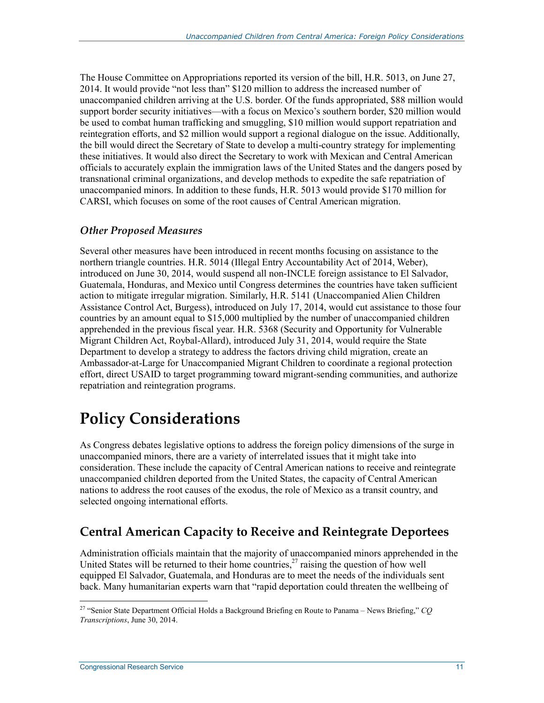The House Committee on Appropriations reported its version of the bill, H.R. 5013, on June 27, 2014. It would provide "not less than" \$120 million to address the increased number of unaccompanied children arriving at the U.S. border. Of the funds appropriated, \$88 million would support border security initiatives—with a focus on Mexico's southern border, \$20 million would be used to combat human trafficking and smuggling, \$10 million would support repatriation and reintegration efforts, and \$2 million would support a regional dialogue on the issue. Additionally, the bill would direct the Secretary of State to develop a multi-country strategy for implementing these initiatives. It would also direct the Secretary to work with Mexican and Central American officials to accurately explain the immigration laws of the United States and the dangers posed by transnational criminal organizations, and develop methods to expedite the safe repatriation of unaccompanied minors. In addition to these funds, H.R. 5013 would provide \$170 million for CARSI, which focuses on some of the root causes of Central American migration.

#### *Other Proposed Measures*

Several other measures have been introduced in recent months focusing on assistance to the northern triangle countries. H.R. 5014 (Illegal Entry Accountability Act of 2014, Weber), introduced on June 30, 2014, would suspend all non-INCLE foreign assistance to El Salvador, Guatemala, Honduras, and Mexico until Congress determines the countries have taken sufficient action to mitigate irregular migration. Similarly, H.R. 5141 (Unaccompanied Alien Children Assistance Control Act, Burgess), introduced on July 17, 2014, would cut assistance to those four countries by an amount equal to \$15,000 multiplied by the number of unaccompanied children apprehended in the previous fiscal year. H.R. 5368 (Security and Opportunity for Vulnerable Migrant Children Act, Roybal-Allard), introduced July 31, 2014, would require the State Department to develop a strategy to address the factors driving child migration, create an Ambassador-at-Large for Unaccompanied Migrant Children to coordinate a regional protection effort, direct USAID to target programming toward migrant-sending communities, and authorize repatriation and reintegration programs.

## **Policy Considerations**

As Congress debates legislative options to address the foreign policy dimensions of the surge in unaccompanied minors, there are a variety of interrelated issues that it might take into consideration. These include the capacity of Central American nations to receive and reintegrate unaccompanied children deported from the United States, the capacity of Central American nations to address the root causes of the exodus, the role of Mexico as a transit country, and selected ongoing international efforts.

### **Central American Capacity to Receive and Reintegrate Deportees**

Administration officials maintain that the majority of unaccompanied minors apprehended in the United States will be returned to their home countries,<sup>27</sup> raising the question of how well equipped El Salvador, Guatemala, and Honduras are to meet the needs of the individuals sent back. Many humanitarian experts warn that "rapid deportation could threaten the wellbeing of

<sup>1</sup> 27 "Senior State Department Official Holds a Background Briefing en Route to Panama – News Briefing," *CQ Transcriptions*, June 30, 2014.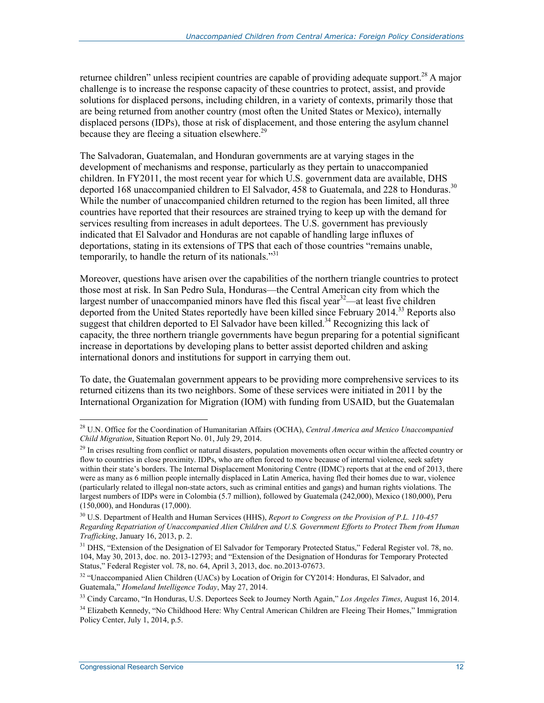returnee children" unless recipient countries are capable of providing adequate support.<sup>28</sup> A major challenge is to increase the response capacity of these countries to protect, assist, and provide solutions for displaced persons, including children, in a variety of contexts, primarily those that are being returned from another country (most often the United States or Mexico), internally displaced persons (IDPs), those at risk of displacement, and those entering the asylum channel because they are fleeing a situation elsewhere.<sup>29</sup>

The Salvadoran, Guatemalan, and Honduran governments are at varying stages in the development of mechanisms and response, particularly as they pertain to unaccompanied children. In FY2011, the most recent year for which U.S. government data are available, DHS deported 168 unaccompanied children to El Salvador, 458 to Guatemala, and 228 to Honduras.<sup>30</sup> While the number of unaccompanied children returned to the region has been limited, all three countries have reported that their resources are strained trying to keep up with the demand for services resulting from increases in adult deportees. The U.S. government has previously indicated that El Salvador and Honduras are not capable of handling large influxes of deportations, stating in its extensions of TPS that each of those countries "remains unable, temporarily, to handle the return of its nationals."<sup>31</sup>

Moreover, questions have arisen over the capabilities of the northern triangle countries to protect those most at risk. In San Pedro Sula, Honduras—the Central American city from which the largest number of unaccompanied minors have fled this fiscal year<sup>32</sup>—at least five children deported from the United States reportedly have been killed since February 2014.<sup>33</sup> Reports also suggest that children deported to El Salvador have been killed.<sup>34</sup> Recognizing this lack of capacity, the three northern triangle governments have begun preparing for a potential significant increase in deportations by developing plans to better assist deported children and asking international donors and institutions for support in carrying them out.

To date, the Guatemalan government appears to be providing more comprehensive services to its returned citizens than its two neighbors. Some of these services were initiated in 2011 by the International Organization for Migration (IOM) with funding from USAID, but the Guatemalan

<sup>28</sup> U.N. Office for the Coordination of Humanitarian Affairs (OCHA), *Central America and Mexico Unaccompanied Child Migration*, Situation Report No. 01, July 29, 2014.

<sup>&</sup>lt;sup>29</sup> In crises resulting from conflict or natural disasters, population movements often occur within the affected country or flow to countries in close proximity. IDPs, who are often forced to move because of internal violence, seek safety within their state's borders. The Internal Displacement Monitoring Centre (IDMC) reports that at the end of 2013, there were as many as 6 million people internally displaced in Latin America, having fled their homes due to war, violence (particularly related to illegal non-state actors, such as criminal entities and gangs) and human rights violations. The largest numbers of IDPs were in Colombia (5.7 million), followed by Guatemala (242,000), Mexico (180,000), Peru (150,000), and Honduras (17,000).

<sup>30</sup> U.S. Department of Health and Human Services (HHS), *Report to Congress on the Provision of P.L. 110-457 Regarding Repatriation of Unaccompanied Alien Children and U.S. Government Efforts to Protect Them from Human Trafficking*, January 16, 2013, p. 2.

<sup>&</sup>lt;sup>31</sup> DHS, "Extension of the Designation of El Salvador for Temporary Protected Status," Federal Register vol. 78, no. 104, May 30, 2013, doc. no. 2013-12793; and "Extension of the Designation of Honduras for Temporary Protected Status," Federal Register vol. 78, no. 64, April 3, 2013, doc. no.2013-07673.

<sup>&</sup>lt;sup>32</sup> "Unaccompanied Alien Children (UACs) by Location of Origin for CY2014: Honduras, El Salvador, and Guatemala," *Homeland Intelligence Today*, May 27, 2014.

<sup>33</sup> Cindy Carcamo, "In Honduras, U.S. Deportees Seek to Journey North Again," *Los Angeles Times*, August 16, 2014.

<sup>&</sup>lt;sup>34</sup> Elizabeth Kennedy, "No Childhood Here: Why Central American Children are Fleeing Their Homes," Immigration Policy Center, July 1, 2014, p.5.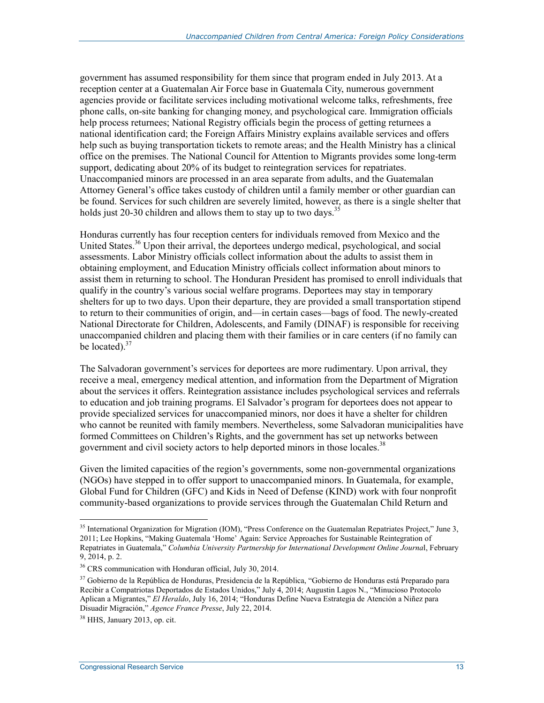government has assumed responsibility for them since that program ended in July 2013. At a reception center at a Guatemalan Air Force base in Guatemala City, numerous government agencies provide or facilitate services including motivational welcome talks, refreshments, free phone calls, on-site banking for changing money, and psychological care. Immigration officials help process returnees; National Registry officials begin the process of getting returnees a national identification card; the Foreign Affairs Ministry explains available services and offers help such as buying transportation tickets to remote areas; and the Health Ministry has a clinical office on the premises. The National Council for Attention to Migrants provides some long-term support, dedicating about 20% of its budget to reintegration services for repatriates. Unaccompanied minors are processed in an area separate from adults, and the Guatemalan Attorney General's office takes custody of children until a family member or other guardian can be found. Services for such children are severely limited, however, as there is a single shelter that holds just 20-30 children and allows them to stay up to two days.<sup>35</sup>

Honduras currently has four reception centers for individuals removed from Mexico and the United States.<sup>36</sup> Upon their arrival, the deportees undergo medical, psychological, and social assessments. Labor Ministry officials collect information about the adults to assist them in obtaining employment, and Education Ministry officials collect information about minors to assist them in returning to school. The Honduran President has promised to enroll individuals that qualify in the country's various social welfare programs. Deportees may stay in temporary shelters for up to two days. Upon their departure, they are provided a small transportation stipend to return to their communities of origin, and—in certain cases—bags of food. The newly-created National Directorate for Children, Adolescents, and Family (DINAF) is responsible for receiving unaccompanied children and placing them with their families or in care centers (if no family can be located).<sup>37</sup>

The Salvadoran government's services for deportees are more rudimentary. Upon arrival, they receive a meal, emergency medical attention, and information from the Department of Migration about the services it offers. Reintegration assistance includes psychological services and referrals to education and job training programs. El Salvador's program for deportees does not appear to provide specialized services for unaccompanied minors, nor does it have a shelter for children who cannot be reunited with family members. Nevertheless, some Salvadoran municipalities have formed Committees on Children's Rights, and the government has set up networks between government and civil society actors to help deported minors in those locales.<sup>38</sup>

Given the limited capacities of the region's governments, some non-governmental organizations (NGOs) have stepped in to offer support to unaccompanied minors. In Guatemala, for example, Global Fund for Children (GFC) and Kids in Need of Defense (KIND) work with four nonprofit community-based organizations to provide services through the Guatemalan Child Return and

<sup>&</sup>lt;sup>35</sup> International Organization for Migration (IOM), "Press Conference on the Guatemalan Repatriates Project," June 3, 2011; Lee Hopkins, "Making Guatemala 'Home' Again: Service Approaches for Sustainable Reintegration of Repatriates in Guatemala," *Columbia University Partnership for International Development Online Journa*l, February 9, 2014, p. 2.

<sup>36</sup> CRS communication with Honduran official, July 30, 2014.

<sup>&</sup>lt;sup>37</sup> Gobierno de la República de Honduras, Presidencia de la República, "Gobierno de Honduras está Preparado para Recibir a Compatriotas Deportados de Estados Unidos," July 4, 2014; Augustin Lagos N., "Minucioso Protocolo Aplican a Migrantes," *El Heraldo*, July 16, 2014; "Honduras Define Nueva Estrategia de Atención a Niñez para Disuadir Migración," *Agence France Presse*, July 22, 2014.

<sup>38</sup> HHS, January 2013, op. cit.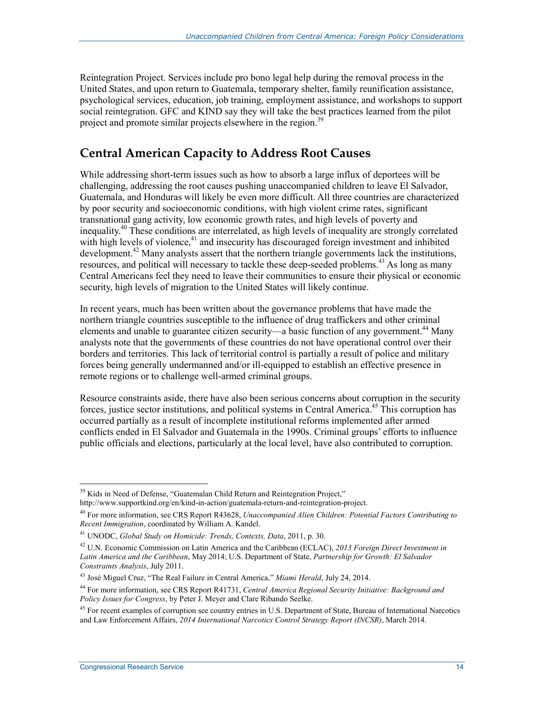Reintegration Project. Services include pro bono legal help during the removal process in the United States, and upon return to Guatemala, temporary shelter, family reunification assistance, psychological services, education, job training, employment assistance, and workshops to support social reintegration. GFC and KIND say they will take the best practices learned from the pilot project and promote similar projects elsewhere in the region.<sup>39</sup>

### **Central American Capacity to Address Root Causes**

While addressing short-term issues such as how to absorb a large influx of deportees will be challenging, addressing the root causes pushing unaccompanied children to leave El Salvador, Guatemala, and Honduras will likely be even more difficult. All three countries are characterized by poor security and socioeconomic conditions, with high violent crime rates, significant transnational gang activity, low economic growth rates, and high levels of poverty and inequality.40 These conditions are interrelated, as high levels of inequality are strongly correlated with high levels of violence,<sup>41</sup> and insecurity has discouraged foreign investment and inhibited development.<sup>42</sup> Many analysts assert that the northern triangle governments lack the institutions, resources, and political will necessary to tackle these deep-seeded problems.<sup>43</sup> As long as many Central Americans feel they need to leave their communities to ensure their physical or economic security, high levels of migration to the United States will likely continue.

In recent years, much has been written about the governance problems that have made the northern triangle countries susceptible to the influence of drug traffickers and other criminal elements and unable to guarantee citizen security—a basic function of any government.<sup>44</sup> Many analysts note that the governments of these countries do not have operational control over their borders and territories. This lack of territorial control is partially a result of police and military forces being generally undermanned and/or ill-equipped to establish an effective presence in remote regions or to challenge well-armed criminal groups.

Resource constraints aside, there have also been serious concerns about corruption in the security forces, justice sector institutions, and political systems in Central America.<sup>45</sup> This corruption has occurred partially as a result of incomplete institutional reforms implemented after armed conflicts ended in El Salvador and Guatemala in the 1990s. Criminal groups' efforts to influence public officials and elections, particularly at the local level, have also contributed to corruption.

<u>.</u>

 $39$  Kids in Need of Defense, "Guatemalan Child Return and Reintegration Project,"

http://www.supportkind.org/en/kind-in-action/guatemala-return-and-reintegration-project.

<sup>40</sup> For more information, see CRS Report R43628, *Unaccompanied Alien Children: Potential Factors Contributing to Recent Immigration*, coordinated by William A. Kandel.

<sup>41</sup> UNODC, *Global Study on Homicide: Trends, Contexts, Data*, 2011, p. 30.

<sup>42</sup> U.N. Economic Commission on Latin America and the Caribbean (ECLAC), *2013 Foreign Direct Investment in Latin America and the Caribbean*, May 2014; U.S. Department of State, *Partnership for Growth: El Salvador Constraints Analysis*, July 2011.

<sup>43</sup> José Miguel Cruz, "The Real Failure in Central America," *Miami Herald*, July 24, 2014.

<sup>44</sup> For more information, see CRS Report R41731, *Central America Regional Security Initiative: Background and Policy Issues for Congress*, by Peter J. Meyer and Clare Ribando Seelke.

<sup>&</sup>lt;sup>45</sup> For recent examples of corruption see country entries in U.S. Department of State, Bureau of International Narcotics and Law Enforcement Affairs, *2014 International Narcotics Control Strategy Report (INCSR)*, March 2014.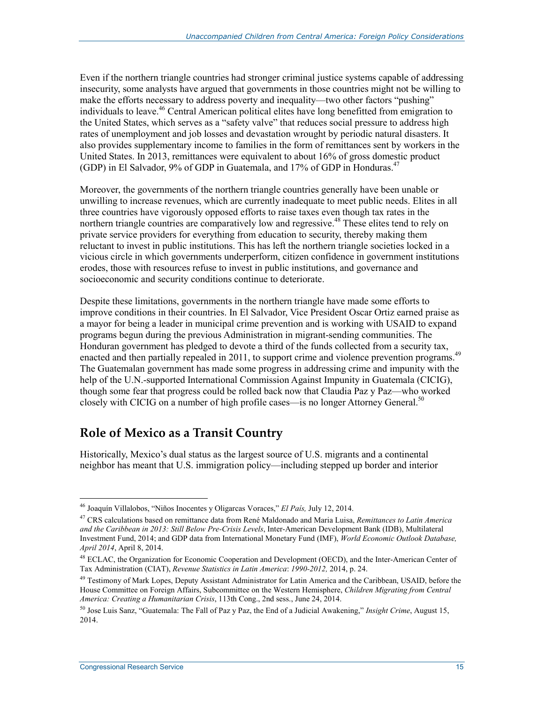Even if the northern triangle countries had stronger criminal justice systems capable of addressing insecurity, some analysts have argued that governments in those countries might not be willing to make the efforts necessary to address poverty and inequality—two other factors "pushing" individuals to leave.<sup>46</sup> Central American political elites have long benefitted from emigration to the United States, which serves as a "safety valve" that reduces social pressure to address high rates of unemployment and job losses and devastation wrought by periodic natural disasters. It also provides supplementary income to families in the form of remittances sent by workers in the United States. In 2013, remittances were equivalent to about 16% of gross domestic product (GDP) in El Salvador, 9% of GDP in Guatemala, and 17% of GDP in Honduras.<sup>47</sup>

Moreover, the governments of the northern triangle countries generally have been unable or unwilling to increase revenues, which are currently inadequate to meet public needs. Elites in all three countries have vigorously opposed efforts to raise taxes even though tax rates in the northern triangle countries are comparatively low and regressive.<sup>48</sup> These elites tend to rely on private service providers for everything from education to security, thereby making them reluctant to invest in public institutions. This has left the northern triangle societies locked in a vicious circle in which governments underperform, citizen confidence in government institutions erodes, those with resources refuse to invest in public institutions, and governance and socioeconomic and security conditions continue to deteriorate.

Despite these limitations, governments in the northern triangle have made some efforts to improve conditions in their countries. In El Salvador, Vice President Oscar Ortiz earned praise as a mayor for being a leader in municipal crime prevention and is working with USAID to expand programs begun during the previous Administration in migrant-sending communities. The Honduran government has pledged to devote a third of the funds collected from a security tax, enacted and then partially repealed in 2011, to support crime and violence prevention programs.<sup>49</sup> The Guatemalan government has made some progress in addressing crime and impunity with the help of the U.N.-supported International Commission Against Impunity in Guatemala (CICIG), though some fear that progress could be rolled back now that Claudia Paz y Paz—who worked closely with CICIG on a number of high profile cases—is no longer Attorney General.<sup>50</sup>

### **Role of Mexico as a Transit Country**

Historically, Mexico's dual status as the largest source of U.S. migrants and a continental neighbor has meant that U.S. immigration policy—including stepped up border and interior

<sup>46</sup> Joaquín Villalobos, "Niños Inocentes y Oligarcas Voraces," *El País,* July 12, 2014.

<sup>47</sup> CRS calculations based on remittance data from René Maldonado and Maria Luisa, *Remittances to Latin America and the Caribbean in 2013: Still Below Pre-Crisis Levels*, Inter-American Development Bank (IDB), Multilateral Investment Fund, 2014; and GDP data from International Monetary Fund (IMF), *World Economic Outlook Database, April 2014*, April 8, 2014.

<sup>&</sup>lt;sup>48</sup> ECLAC, the Organization for Economic Cooperation and Development (OECD), and the Inter-American Center of Tax Administration (CIAT), *Revenue Statistics in Latin America*: *1990-2012,* 2014, p. 24.

<sup>&</sup>lt;sup>49</sup> Testimony of Mark Lopes, Deputy Assistant Administrator for Latin America and the Caribbean, USAID, before the House Committee on Foreign Affairs, Subcommittee on the Western Hemisphere, *Children Migrating from Central America: Creating a Humanitarian Crisis*, 113th Cong., 2nd sess., June 24, 2014.

<sup>50</sup> Jose Luis Sanz, "Guatemala: The Fall of Paz y Paz, the End of a Judicial Awakening," *Insight Crime*, August 15, 2014.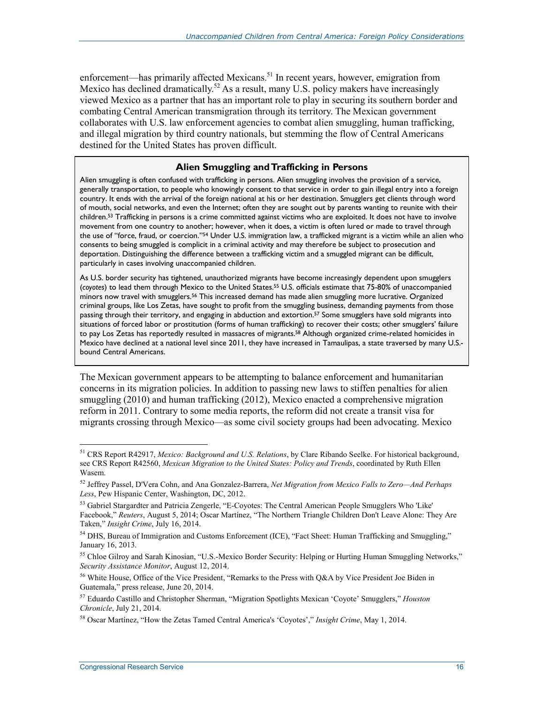enforcement—has primarily affected Mexicans.<sup>51</sup> In recent years, however, emigration from Mexico has declined dramatically.<sup>52</sup> As a result, many U.S. policy makers have increasingly viewed Mexico as a partner that has an important role to play in securing its southern border and combating Central American transmigration through its territory. The Mexican government collaborates with U.S. law enforcement agencies to combat alien smuggling, human trafficking, and illegal migration by third country nationals, but stemming the flow of Central Americans destined for the United States has proven difficult.

#### **Alien Smuggling and Trafficking in Persons**

Alien smuggling is often confused with trafficking in persons. Alien smuggling involves the provision of a service, generally transportation, to people who knowingly consent to that service in order to gain illegal entry into a foreign country. It ends with the arrival of the foreign national at his or her destination. Smugglers get clients through word of mouth, social networks, and even the Internet; often they are sought out by parents wanting to reunite with their children.<sup>53</sup> Trafficking in persons is a crime committed against victims who are exploited. It does not have to involve movement from one country to another; however, when it does, a victim is often lured or made to travel through the use of "force, fraud, or coercion."54 Under U.S. immigration law, a trafficked migrant is a victim while an alien who consents to being smuggled is complicit in a criminal activity and may therefore be subject to prosecution and deportation. Distinguishing the difference between a trafficking victim and a smuggled migrant can be difficult, particularly in cases involving unaccompanied children.

As U.S. border security has tightened, unauthorized migrants have become increasingly dependent upon smugglers (*coyotes*) to lead them through Mexico to the United States.55 U.S. officials estimate that 75-80% of unaccompanied minors now travel with smugglers.56 This increased demand has made alien smuggling more lucrative. Organized criminal groups, like Los Zetas, have sought to profit from the smuggling business, demanding payments from those passing through their territory, and engaging in abduction and extortion.57 Some smugglers have sold migrants into situations of forced labor or prostitution (forms of human trafficking) to recover their costs; other smugglers' failure to pay Los Zetas has reportedly resulted in massacres of migrants.<sup>58</sup> Although organized crime-related homicides in Mexico have declined at a national level since 2011, they have increased in Tamaulipas, a state traversed by many U.S. bound Central Americans.

The Mexican government appears to be attempting to balance enforcement and humanitarian concerns in its migration policies. In addition to passing new laws to stiffen penalties for alien smuggling (2010) and human trafficking (2012), Mexico enacted a comprehensive migration reform in 2011. Contrary to some media reports, the reform did not create a transit visa for migrants crossing through Mexico—as some civil society groups had been advocating. Mexico

<sup>51</sup> CRS Report R42917, *Mexico: Background and U.S. Relations*, by Clare Ribando Seelke. For historical background, see CRS Report R42560, *Mexican Migration to the United States: Policy and Trends*, coordinated by Ruth Ellen Wasem.

<sup>52</sup> Jeffrey Passel, D'Vera Cohn, and Ana Gonzalez-Barrera, *Net Migration from Mexico Falls to Zero—And Perhaps Less*, Pew Hispanic Center, Washington, DC, 2012.

<sup>&</sup>lt;sup>53</sup> Gabriel Stargardter and Patricia Zengerle, "E-Coyotes: The Central American People Smugglers Who 'Like' Facebook," *Reuters*, August 5, 2014; Oscar Martínez, "The Northern Triangle Children Don't Leave Alone: They Are Taken," *Insight Crime*, July 16, 2014.

<sup>&</sup>lt;sup>54</sup> DHS, Bureau of Immigration and Customs Enforcement (ICE), "Fact Sheet: Human Trafficking and Smuggling," January 16, 2013.

<sup>&</sup>lt;sup>55</sup> Chloe Gilroy and Sarah Kinosian, "U.S.-Mexico Border Security: Helping or Hurting Human Smuggling Networks," *Security Assistance Monitor*, August 12, 2014.

<sup>&</sup>lt;sup>56</sup> White House, Office of the Vice President, "Remarks to the Press with Q&A by Vice President Joe Biden in Guatemala," press release, June 20, 2014.

<sup>57</sup> Eduardo Castillo and Christopher Sherman, "Migration Spotlights Mexican 'Coyote' Smugglers," *Houston Chronicle*, July 21, 2014.

<sup>58</sup> Oscar Martínez, "How the Zetas Tamed Central America's 'Coyotes'," *Insight Crime*, May 1, 2014.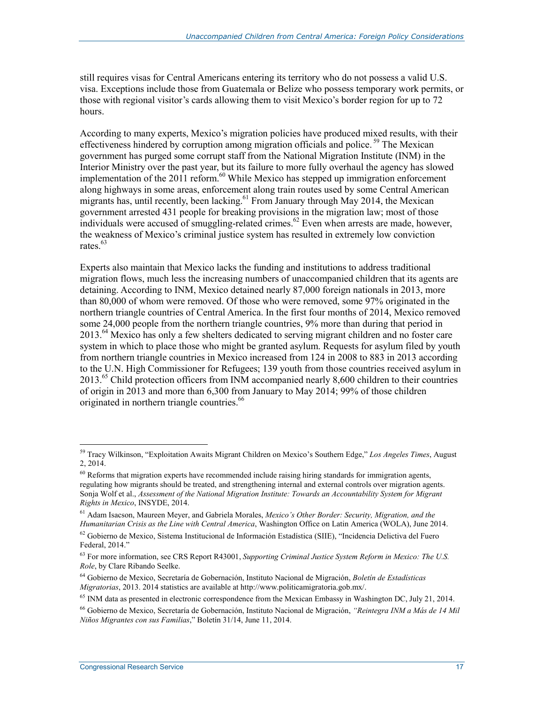still requires visas for Central Americans entering its territory who do not possess a valid U.S. visa. Exceptions include those from Guatemala or Belize who possess temporary work permits, or those with regional visitor's cards allowing them to visit Mexico's border region for up to 72 hours.

According to many experts, Mexico's migration policies have produced mixed results, with their effectiveness hindered by corruption among migration officials and police.<sup>59</sup> The Mexican government has purged some corrupt staff from the National Migration Institute (INM) in the Interior Ministry over the past year, but its failure to more fully overhaul the agency has slowed implementation of the 2011 reform.<sup>60</sup> While Mexico has stepped up immigration enforcement along highways in some areas, enforcement along train routes used by some Central American migrants has, until recently, been lacking.<sup>61</sup> From January through May 2014, the Mexican government arrested 431 people for breaking provisions in the migration law; most of those individuals were accused of smuggling-related crimes.<sup>62</sup> Even when arrests are made, however, the weakness of Mexico's criminal justice system has resulted in extremely low conviction rates.<sup>63</sup>

Experts also maintain that Mexico lacks the funding and institutions to address traditional migration flows, much less the increasing numbers of unaccompanied children that its agents are detaining. According to INM, Mexico detained nearly 87,000 foreign nationals in 2013, more than 80,000 of whom were removed. Of those who were removed, some 97% originated in the northern triangle countries of Central America. In the first four months of 2014, Mexico removed some 24,000 people from the northern triangle countries, 9% more than during that period in 2013.<sup>64</sup> Mexico has only a few shelters dedicated to serving migrant children and no foster care system in which to place those who might be granted asylum. Requests for asylum filed by youth from northern triangle countries in Mexico increased from 124 in 2008 to 883 in 2013 according to the U.N. High Commissioner for Refugees; 139 youth from those countries received asylum in 2013.<sup>65</sup> Child protection officers from INM accompanied nearly 8,600 children to their countries of origin in 2013 and more than 6,300 from January to May 2014; 99% of those children originated in northern triangle countries.<sup>66</sup>

<sup>59</sup> Tracy Wilkinson, "Exploitation Awaits Migrant Children on Mexico's Southern Edge," *Los Angeles Times*, August 2, 2014.

<sup>&</sup>lt;sup>60</sup> Reforms that migration experts have recommended include raising hiring standards for immigration agents, regulating how migrants should be treated, and strengthening internal and external controls over migration agents. Sonja Wolf et al., *Assessment of the National Migration Institute: Towards an Accountability System for Migrant Rights in Mexico*, INSYDE, 2014.

<sup>61</sup> Adam Isacson, Maureen Meyer, and Gabriela Morales, *Mexico's Other Border: Security, Migration, and the Humanitarian Crisis as the Line with Central America*, Washington Office on Latin America (WOLA), June 2014.

 $62$  Gobierno de Mexico, Sistema Institucional de Información Estadística (SIIE), "Incidencia Delictiva del Fuero Federal, 2014."

<sup>63</sup> For more information, see CRS Report R43001, *Supporting Criminal Justice System Reform in Mexico: The U.S. Role*, by Clare Ribando Seelke.

<sup>64</sup> Gobierno de Mexico, Secretaría de Gobernación, Instituto Nacional de Migración, *Boletín de Estadísticas Migratorias*, 2013. 2014 statistics are available at http://www.politicamigratoria.gob.mx/.

<sup>&</sup>lt;sup>65</sup> INM data as presented in electronic correspondence from the Mexican Embassy in Washington DC, July 21, 2014.

<sup>66</sup> Gobierno de Mexico, Secretaría de Gobernación, Instituto Nacional de Migración, *"Reintegra INM a Más de 14 Mil Niños Migrantes con sus Familias*," Boletín 31/14, June 11, 2014.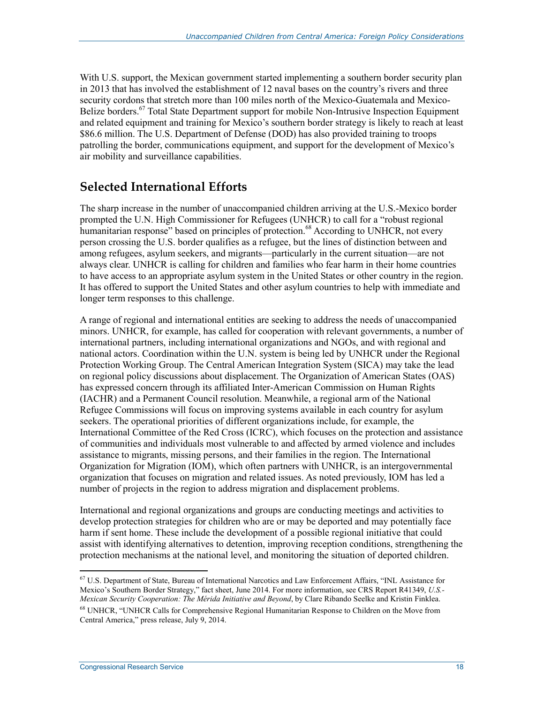With U.S. support, the Mexican government started implementing a southern border security plan in 2013 that has involved the establishment of 12 naval bases on the country's rivers and three security cordons that stretch more than 100 miles north of the Mexico-Guatemala and Mexico-Belize borders.<sup>67</sup> Total State Department support for mobile Non-Intrusive Inspection Equipment and related equipment and training for Mexico's southern border strategy is likely to reach at least \$86.6 million. The U.S. Department of Defense (DOD) has also provided training to troops patrolling the border, communications equipment, and support for the development of Mexico's air mobility and surveillance capabilities.

## **Selected International Efforts**

The sharp increase in the number of unaccompanied children arriving at the U.S.-Mexico border prompted the U.N. High Commissioner for Refugees (UNHCR) to call for a "robust regional humanitarian response" based on principles of protection.<sup>68</sup> According to UNHCR, not every person crossing the U.S. border qualifies as a refugee, but the lines of distinction between and among refugees, asylum seekers, and migrants—particularly in the current situation—are not always clear. UNHCR is calling for children and families who fear harm in their home countries to have access to an appropriate asylum system in the United States or other country in the region. It has offered to support the United States and other asylum countries to help with immediate and longer term responses to this challenge.

A range of regional and international entities are seeking to address the needs of unaccompanied minors. UNHCR, for example, has called for cooperation with relevant governments, a number of international partners, including international organizations and NGOs, and with regional and national actors. Coordination within the U.N. system is being led by UNHCR under the Regional Protection Working Group. The Central American Integration System (SICA) may take the lead on regional policy discussions about displacement. The Organization of American States (OAS) has expressed concern through its affiliated Inter-American Commission on Human Rights (IACHR) and a Permanent Council resolution. Meanwhile, a regional arm of the National Refugee Commissions will focus on improving systems available in each country for asylum seekers. The operational priorities of different organizations include, for example, the International Committee of the Red Cross (ICRC), which focuses on the protection and assistance of communities and individuals most vulnerable to and affected by armed violence and includes assistance to migrants, missing persons, and their families in the region. The International Organization for Migration (IOM), which often partners with UNHCR, is an intergovernmental organization that focuses on migration and related issues. As noted previously, IOM has led a number of projects in the region to address migration and displacement problems.

International and regional organizations and groups are conducting meetings and activities to develop protection strategies for children who are or may be deported and may potentially face harm if sent home. These include the development of a possible regional initiative that could assist with identifying alternatives to detention, improving reception conditions, strengthening the protection mechanisms at the national level, and monitoring the situation of deported children.

<sup>1</sup> 67 U.S. Department of State, Bureau of International Narcotics and Law Enforcement Affairs, "INL Assistance for Mexico's Southern Border Strategy," fact sheet, June 2014. For more information, see CRS Report R41349, *U.S.- Mexican Security Cooperation: The Mérida Initiative and Beyond*, by Clare Ribando Seelke and Kristin Finklea. 68 UNHCR, "UNHCR Calls for Comprehensive Regional Humanitarian Response to Children on the Move from Central America," press release, July 9, 2014.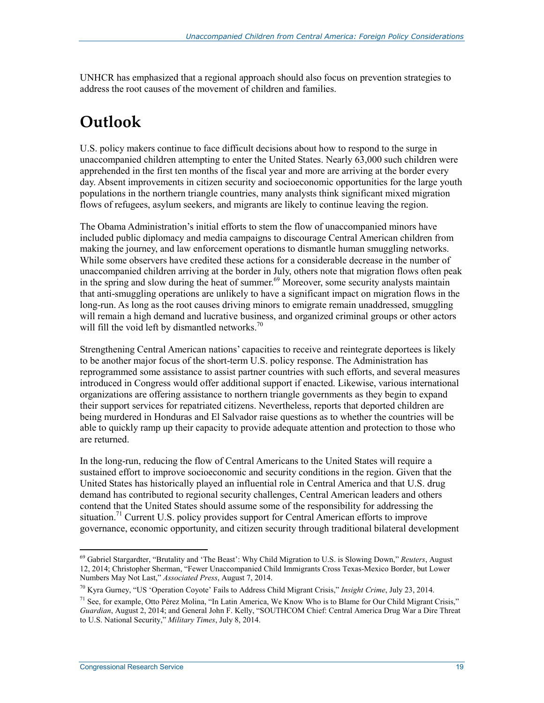UNHCR has emphasized that a regional approach should also focus on prevention strategies to address the root causes of the movement of children and families.

## **Outlook**

U.S. policy makers continue to face difficult decisions about how to respond to the surge in unaccompanied children attempting to enter the United States. Nearly 63,000 such children were apprehended in the first ten months of the fiscal year and more are arriving at the border every day. Absent improvements in citizen security and socioeconomic opportunities for the large youth populations in the northern triangle countries, many analysts think significant mixed migration flows of refugees, asylum seekers, and migrants are likely to continue leaving the region.

The Obama Administration's initial efforts to stem the flow of unaccompanied minors have included public diplomacy and media campaigns to discourage Central American children from making the journey, and law enforcement operations to dismantle human smuggling networks. While some observers have credited these actions for a considerable decrease in the number of unaccompanied children arriving at the border in July, others note that migration flows often peak in the spring and slow during the heat of summer.<sup>69</sup> Moreover, some security analysts maintain that anti-smuggling operations are unlikely to have a significant impact on migration flows in the long-run. As long as the root causes driving minors to emigrate remain unaddressed, smuggling will remain a high demand and lucrative business, and organized criminal groups or other actors will fill the void left by dismantled networks.<sup>70</sup>

Strengthening Central American nations' capacities to receive and reintegrate deportees is likely to be another major focus of the short-term U.S. policy response. The Administration has reprogrammed some assistance to assist partner countries with such efforts, and several measures introduced in Congress would offer additional support if enacted. Likewise, various international organizations are offering assistance to northern triangle governments as they begin to expand their support services for repatriated citizens. Nevertheless, reports that deported children are being murdered in Honduras and El Salvador raise questions as to whether the countries will be able to quickly ramp up their capacity to provide adequate attention and protection to those who are returned.

In the long-run, reducing the flow of Central Americans to the United States will require a sustained effort to improve socioeconomic and security conditions in the region. Given that the United States has historically played an influential role in Central America and that U.S. drug demand has contributed to regional security challenges, Central American leaders and others contend that the United States should assume some of the responsibility for addressing the situation.<sup>71</sup> Current U.S. policy provides support for Central American efforts to improve governance, economic opportunity, and citizen security through traditional bilateral development

<sup>1</sup> 69 Gabriel Stargardter, "Brutality and 'The Beast': Why Child Migration to U.S. is Slowing Down," *Reuters*, August 12, 2014; Christopher Sherman, "Fewer Unaccompanied Child Immigrants Cross Texas-Mexico Border, but Lower Numbers May Not Last," *Associated Press*, August 7, 2014.

<sup>70</sup> Kyra Gurney, "US 'Operation Coyote' Fails to Address Child Migrant Crisis," *Insight Crime*, July 23, 2014.

<sup>71</sup> See, for example, Otto Pérez Molina, "In Latin America, We Know Who is to Blame for Our Child Migrant Crisis," *Guardian*, August 2, 2014; and General John F. Kelly, "SOUTHCOM Chief: Central America Drug War a Dire Threat to U.S. National Security," *Military Times*, July 8, 2014.